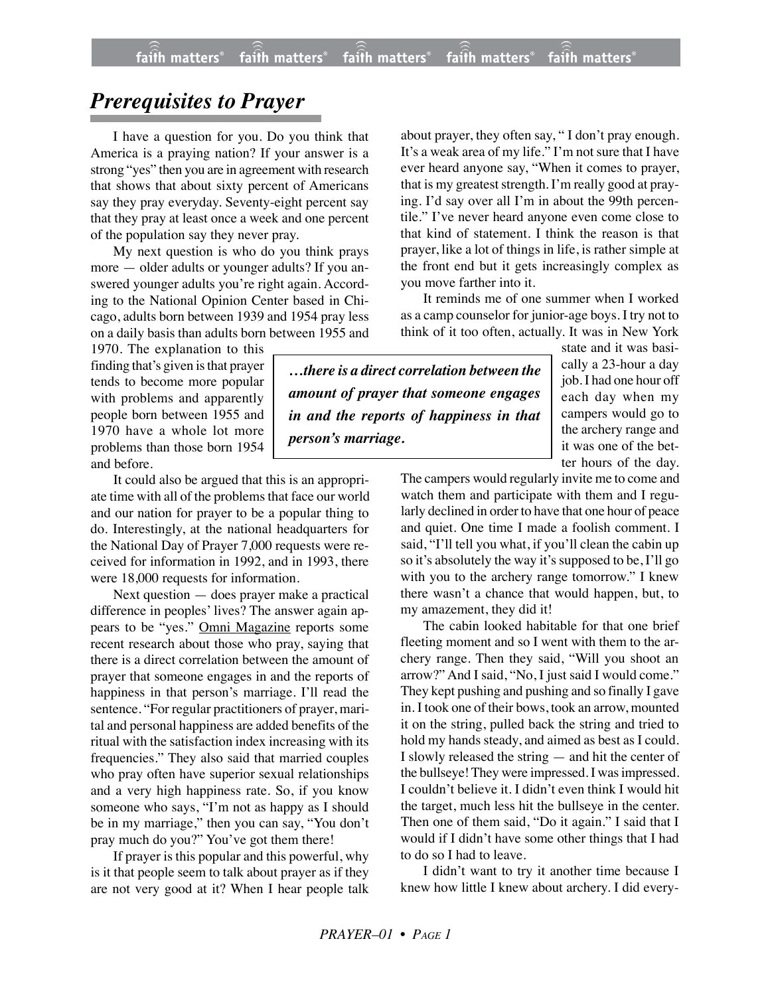## *Prerequisites to Prayer*

I have a question for you. Do you think that America is a praying nation? If your answer is a strong "yes" then you are in agreement with research that shows that about sixty percent of Americans say they pray everyday. Seventy-eight percent say that they pray at least once a week and one percent of the population say they never pray.

My next question is who do you think prays more — older adults or younger adults? If you answered younger adults you're right again. According to the National Opinion Center based in Chicago, adults born between 1939 and 1954 pray less on a daily basis than adults born between 1955 and

1970. The explanation to this finding that's given is that prayer tends to become more popular with problems and apparently people born between 1955 and 1970 have a whole lot more problems than those born 1954 and before.

It could also be argued that this is an appropriate time with all of the problems that face our world and our nation for prayer to be a popular thing to do. Interestingly, at the national headquarters for the National Day of Prayer 7,000 requests were received for information in 1992, and in 1993, there were 18,000 requests for information.

Next question — does prayer make a practical difference in peoples' lives? The answer again appears to be "yes." Omni Magazine reports some recent research about those who pray, saying that there is a direct correlation between the amount of prayer that someone engages in and the reports of happiness in that person's marriage. I'll read the sentence. "For regular practitioners of prayer, marital and personal happiness are added benefits of the ritual with the satisfaction index increasing with its frequencies." They also said that married couples who pray often have superior sexual relationships and a very high happiness rate. So, if you know someone who says, "I'm not as happy as I should be in my marriage," then you can say, "You don't pray much do you?" You've got them there!

If prayer is this popular and this powerful, why is it that people seem to talk about prayer as if they are not very good at it? When I hear people talk about prayer, they often say, " I don't pray enough. It's a weak area of my life." I'm not sure that I have ever heard anyone say, "When it comes to prayer, that is my greatest strength. I'm really good at praying. I'd say over all I'm in about the 99th percentile." I've never heard anyone even come close to that kind of statement. I think the reason is that prayer, like a lot of things in life, is rather simple at the front end but it gets increasingly complex as you move farther into it.

It reminds me of one summer when I worked as a camp counselor for junior-age boys. I try not to think of it too often, actually. It was in New York

*…there is a direct correlation between the amount of prayer that someone engages in and the reports of happiness in that person's marriage.*

state and it was basically a 23-hour a day job. I had one hour off each day when my campers would go to the archery range and it was one of the better hours of the day.

The campers would regularly invite me to come and watch them and participate with them and I regularly declined in order to have that one hour of peace and quiet. One time I made a foolish comment. I said, "I'll tell you what, if you'll clean the cabin up so it's absolutely the way it's supposed to be, I'll go with you to the archery range tomorrow." I knew there wasn't a chance that would happen, but, to my amazement, they did it!

The cabin looked habitable for that one brief fleeting moment and so I went with them to the archery range. Then they said, "Will you shoot an arrow?" And I said, "No, I just said I would come." They kept pushing and pushing and so finally I gave in. I took one of their bows, took an arrow, mounted it on the string, pulled back the string and tried to hold my hands steady, and aimed as best as I could. I slowly released the string — and hit the center of the bullseye! They were impressed. I was impressed. I couldn't believe it. I didn't even think I would hit the target, much less hit the bullseye in the center. Then one of them said, "Do it again." I said that I would if I didn't have some other things that I had to do so I had to leave.

I didn't want to try it another time because I knew how little I knew about archery. I did every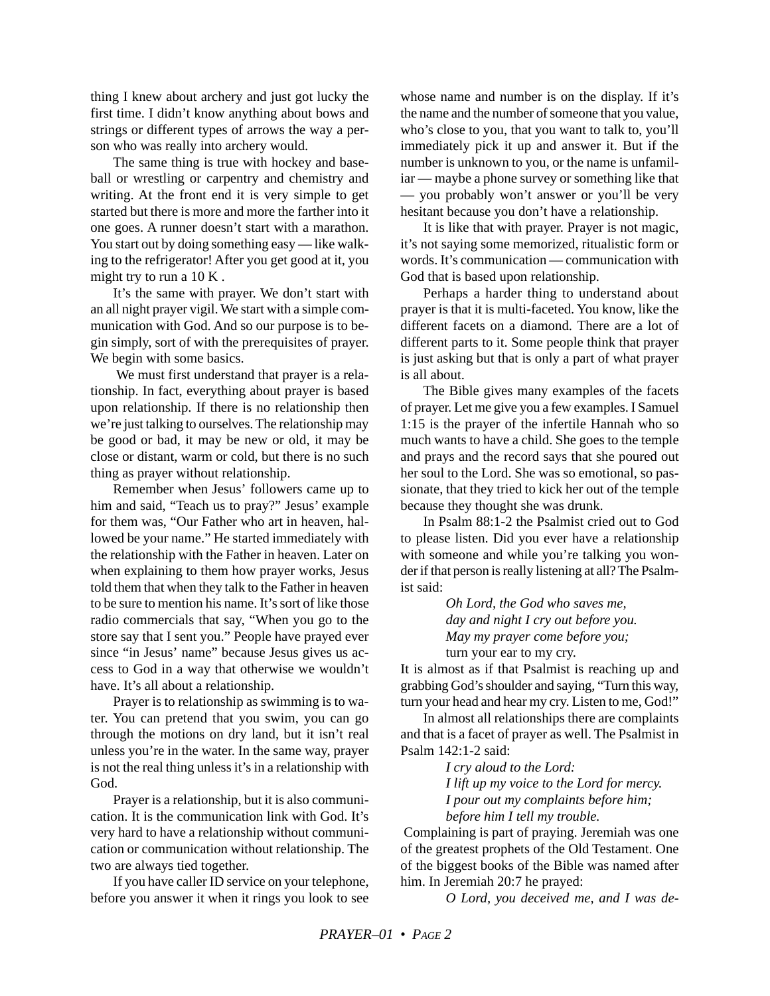thing I knew about archery and just got lucky the first time. I didn't know anything about bows and strings or different types of arrows the way a person who was really into archery would.

The same thing is true with hockey and baseball or wrestling or carpentry and chemistry and writing. At the front end it is very simple to get started but there is more and more the farther into it one goes. A runner doesn't start with a marathon. You start out by doing something easy — like walking to the refrigerator! After you get good at it, you might try to run a 10 K .

It's the same with prayer. We don't start with an all night prayer vigil. We start with a simple communication with God. And so our purpose is to begin simply, sort of with the prerequisites of prayer. We begin with some basics.

 We must first understand that prayer is a relationship. In fact, everything about prayer is based upon relationship. If there is no relationship then we're just talking to ourselves. The relationship may be good or bad, it may be new or old, it may be close or distant, warm or cold, but there is no such thing as prayer without relationship.

Remember when Jesus' followers came up to him and said, "Teach us to pray?" Jesus' example for them was, "Our Father who art in heaven, hallowed be your name." He started immediately with the relationship with the Father in heaven. Later on when explaining to them how prayer works, Jesus told them that when they talk to the Father in heaven to be sure to mention his name. It's sort of like those radio commercials that say, "When you go to the store say that I sent you." People have prayed ever since "in Jesus' name" because Jesus gives us access to God in a way that otherwise we wouldn't have. It's all about a relationship.

Prayer is to relationship as swimming is to water. You can pretend that you swim, you can go through the motions on dry land, but it isn't real unless you're in the water. In the same way, prayer is not the real thing unless it's in a relationship with God.

Prayer is a relationship, but it is also communication. It is the communication link with God. It's very hard to have a relationship without communication or communication without relationship. The two are always tied together.

If you have caller ID service on your telephone, before you answer it when it rings you look to see whose name and number is on the display. If it's the name and the number of someone that you value, who's close to you, that you want to talk to, you'll immediately pick it up and answer it. But if the number is unknown to you, or the name is unfamiliar — maybe a phone survey or something like that — you probably won't answer or you'll be very hesitant because you don't have a relationship.

It is like that with prayer. Prayer is not magic, it's not saying some memorized, ritualistic form or words. It's communication — communication with God that is based upon relationship.

Perhaps a harder thing to understand about prayer is that it is multi-faceted. You know, like the different facets on a diamond. There are a lot of different parts to it. Some people think that prayer is just asking but that is only a part of what prayer is all about.

The Bible gives many examples of the facets of prayer. Let me give you a few examples. I Samuel 1:15 is the prayer of the infertile Hannah who so much wants to have a child. She goes to the temple and prays and the record says that she poured out her soul to the Lord. She was so emotional, so passionate, that they tried to kick her out of the temple because they thought she was drunk.

In Psalm 88:1-2 the Psalmist cried out to God to please listen. Did you ever have a relationship with someone and while you're talking you wonder if that person is really listening at all? The Psalmist said:

> *Oh Lord, the God who saves me, day and night I cry out before you. May my prayer come before you;* turn your ear to my cry.

It is almost as if that Psalmist is reaching up and grabbing God's shoulder and saying, "Turn this way, turn your head and hear my cry. Listen to me, God!"

In almost all relationships there are complaints and that is a facet of prayer as well. The Psalmist in Psalm 142:1-2 said:

> *I cry aloud to the Lord: I lift up my voice to the Lord for mercy. I pour out my complaints before him; before him I tell my trouble.*

Complaining is part of praying. Jeremiah was one of the greatest prophets of the Old Testament. One of the biggest books of the Bible was named after him. In Jeremiah 20:7 he prayed:

*O Lord, you deceived me, and I was de-*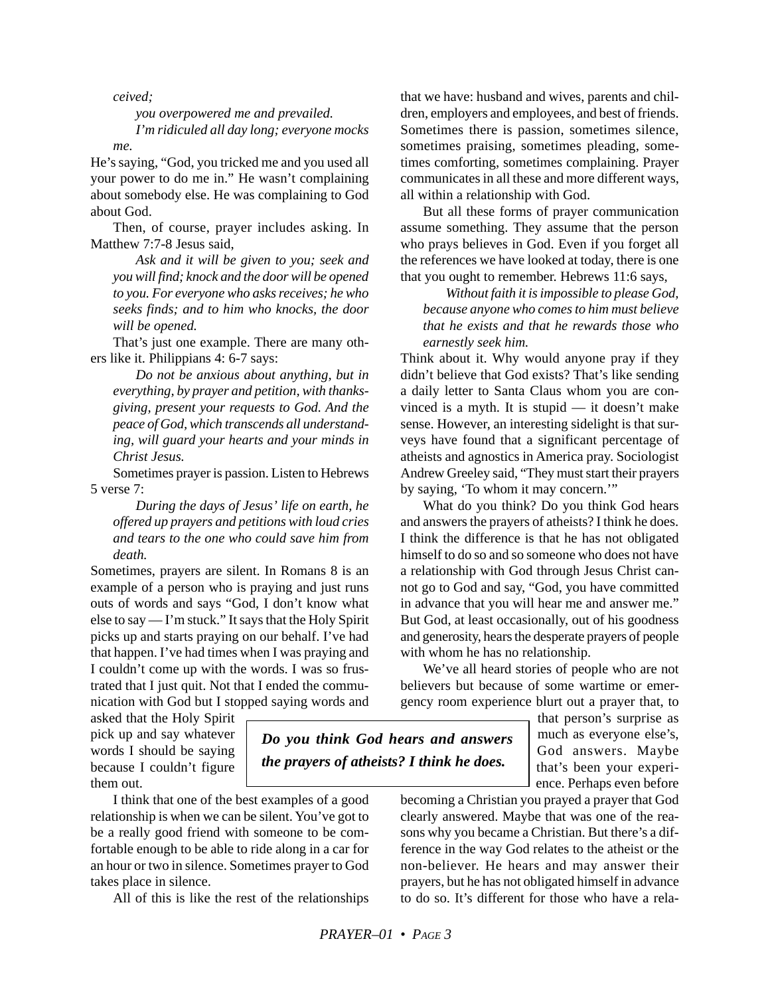*ceived;*

*you overpowered me and prevailed. I'm ridiculed all day long; everyone mocks*

*me.*

He's saying, "God, you tricked me and you used all your power to do me in." He wasn't complaining about somebody else. He was complaining to God about God.

Then, of course, prayer includes asking. In Matthew 7:7-8 Jesus said,

*Ask and it will be given to you; seek and you will find; knock and the door will be opened to you. For everyone who asks receives; he who seeks finds; and to him who knocks, the door will be opened.*

That's just one example. There are many others like it. Philippians 4: 6-7 says:

*Do not be anxious about anything, but in everything, by prayer and petition, with thanksgiving, present your requests to God. And the peace of God, which transcends all understanding, will guard your hearts and your minds in Christ Jesus.*

Sometimes prayer is passion. Listen to Hebrews 5 verse 7:

*During the days of Jesus' life on earth, he offered up prayers and petitions with loud cries and tears to the one who could save him from death.*

Sometimes, prayers are silent. In Romans 8 is an example of a person who is praying and just runs outs of words and says "God, I don't know what else to say — I'm stuck." It says that the Holy Spirit picks up and starts praying on our behalf. I've had that happen. I've had times when I was praying and I couldn't come up with the words. I was so frustrated that I just quit. Not that I ended the communication with God but I stopped saying words and

asked that the Holy Spirit pick up and say whatever words I should be saying because I couldn't figure them out.

*Do you think God hears and answers the prayers of atheists? I think he does.*

I think that one of the best examples of a good relationship is when we can be silent. You've got to be a really good friend with someone to be comfortable enough to be able to ride along in a car for an hour or two in silence. Sometimes prayer to God takes place in silence.

All of this is like the rest of the relationships

that we have: husband and wives, parents and children, employers and employees, and best of friends. Sometimes there is passion, sometimes silence, sometimes praising, sometimes pleading, sometimes comforting, sometimes complaining. Prayer communicates in all these and more different ways, all within a relationship with God.

But all these forms of prayer communication assume something. They assume that the person who prays believes in God. Even if you forget all the references we have looked at today, there is one that you ought to remember. Hebrews 11:6 says,

*Without faith it is impossible to please God, because anyone who comes to him must believe that he exists and that he rewards those who earnestly seek him.*

Think about it. Why would anyone pray if they didn't believe that God exists? That's like sending a daily letter to Santa Claus whom you are convinced is a myth. It is stupid — it doesn't make sense. However, an interesting sidelight is that surveys have found that a significant percentage of atheists and agnostics in America pray. Sociologist Andrew Greeley said, "They must start their prayers by saying, 'To whom it may concern.'"

What do you think? Do you think God hears and answers the prayers of atheists? I think he does. I think the difference is that he has not obligated himself to do so and so someone who does not have a relationship with God through Jesus Christ cannot go to God and say, "God, you have committed in advance that you will hear me and answer me." But God, at least occasionally, out of his goodness and generosity, hears the desperate prayers of people with whom he has no relationship.

We've all heard stories of people who are not believers but because of some wartime or emergency room experience blurt out a prayer that, to

> that person's surprise as much as everyone else's, God answers. Maybe that's been your experience. Perhaps even before

becoming a Christian you prayed a prayer that God clearly answered. Maybe that was one of the reasons why you became a Christian. But there's a difference in the way God relates to the atheist or the non-believer. He hears and may answer their prayers, but he has not obligated himself in advance to do so. It's different for those who have a rela